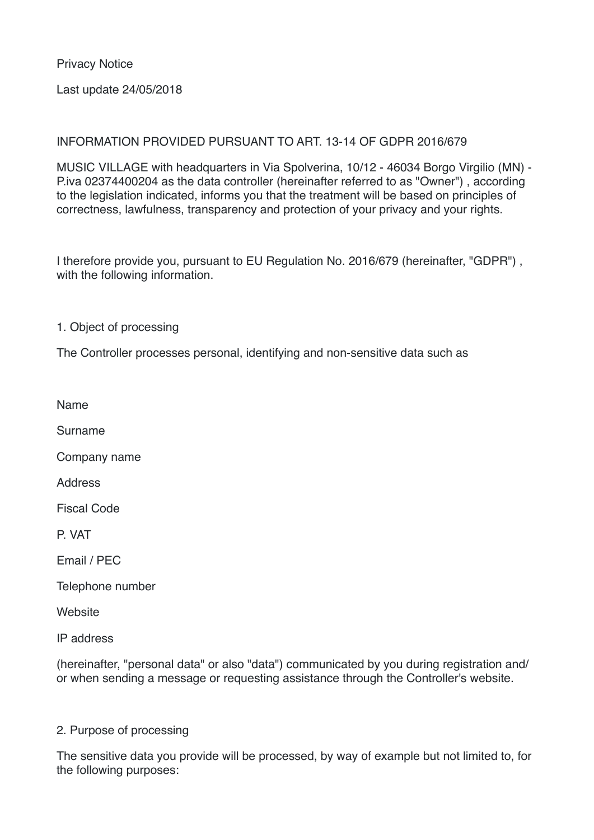Privacy Notice

Last update 24/05/2018

## INFORMATION PROVIDED PURSUANT TO ART. 13-14 OF GDPR 2016/679

MUSIC VILLAGE with headquarters in Via Spolverina, 10/12 - 46034 Borgo Virgilio (MN) - P.iva 02374400204 as the data controller (hereinafter referred to as "Owner") , according to the legislation indicated, informs you that the treatment will be based on principles of correctness, lawfulness, transparency and protection of your privacy and your rights.

I therefore provide you, pursuant to EU Regulation No. 2016/679 (hereinafter, "GDPR") , with the following information.

1. Object of processing

The Controller processes personal, identifying and non-sensitive data such as

Name

Surname

Company name

**Address** 

Fiscal Code

P. VAT

Email / PEC

Telephone number

**Website** 

IP address

(hereinafter, "personal data" or also "data") communicated by you during registration and/ or when sending a message or requesting assistance through the Controller's website.

## 2. Purpose of processing

The sensitive data you provide will be processed, by way of example but not limited to, for the following purposes: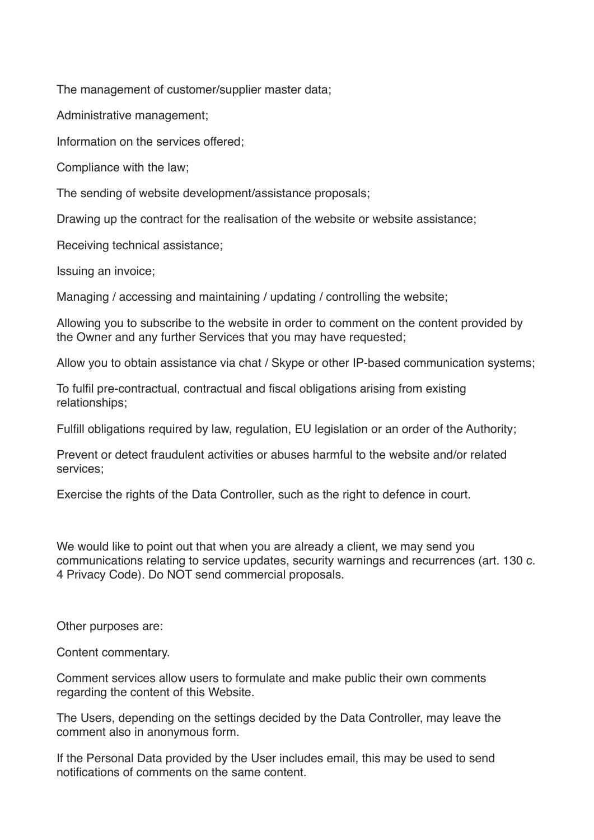The management of customer/supplier master data;

Administrative management;

Information on the services offered;

Compliance with the law;

The sending of website development/assistance proposals;

Drawing up the contract for the realisation of the website or website assistance;

Receiving technical assistance;

Issuing an invoice;

Managing / accessing and maintaining / updating / controlling the website;

Allowing you to subscribe to the website in order to comment on the content provided by the Owner and any further Services that you may have requested;

Allow you to obtain assistance via chat / Skype or other IP-based communication systems;

To fulfil pre-contractual, contractual and fiscal obligations arising from existing relationships;

Fulfill obligations required by law, regulation, EU legislation or an order of the Authority;

Prevent or detect fraudulent activities or abuses harmful to the website and/or related services;

Exercise the rights of the Data Controller, such as the right to defence in court.

We would like to point out that when you are already a client, we may send you communications relating to service updates, security warnings and recurrences (art. 130 c. 4 Privacy Code). Do NOT send commercial proposals.

Other purposes are:

Content commentary.

Comment services allow users to formulate and make public their own comments regarding the content of this Website.

The Users, depending on the settings decided by the Data Controller, may leave the comment also in anonymous form.

If the Personal Data provided by the User includes email, this may be used to send notifications of comments on the same content.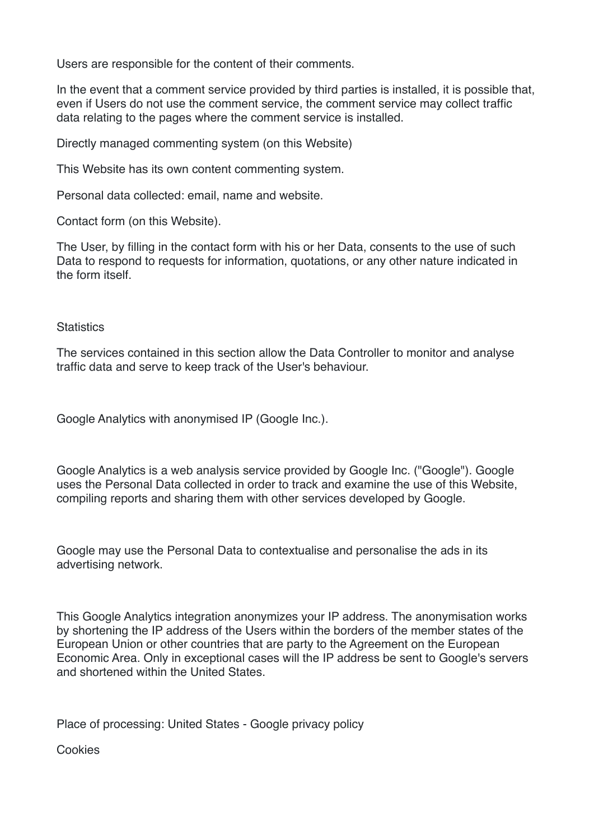Users are responsible for the content of their comments.

In the event that a comment service provided by third parties is installed, it is possible that, even if Users do not use the comment service, the comment service may collect traffic data relating to the pages where the comment service is installed.

Directly managed commenting system (on this Website)

This Website has its own content commenting system.

Personal data collected: email, name and website.

Contact form (on this Website).

The User, by filling in the contact form with his or her Data, consents to the use of such Data to respond to requests for information, quotations, or any other nature indicated in the form itself.

#### **Statistics**

The services contained in this section allow the Data Controller to monitor and analyse traffic data and serve to keep track of the User's behaviour.

Google Analytics with anonymised IP (Google Inc.).

Google Analytics is a web analysis service provided by Google Inc. ("Google"). Google uses the Personal Data collected in order to track and examine the use of this Website, compiling reports and sharing them with other services developed by Google.

Google may use the Personal Data to contextualise and personalise the ads in its advertising network.

This Google Analytics integration anonymizes your IP address. The anonymisation works by shortening the IP address of the Users within the borders of the member states of the European Union or other countries that are party to the Agreement on the European Economic Area. Only in exceptional cases will the IP address be sent to Google's servers and shortened within the United States.

Place of processing: United States - Google privacy policy

Cookies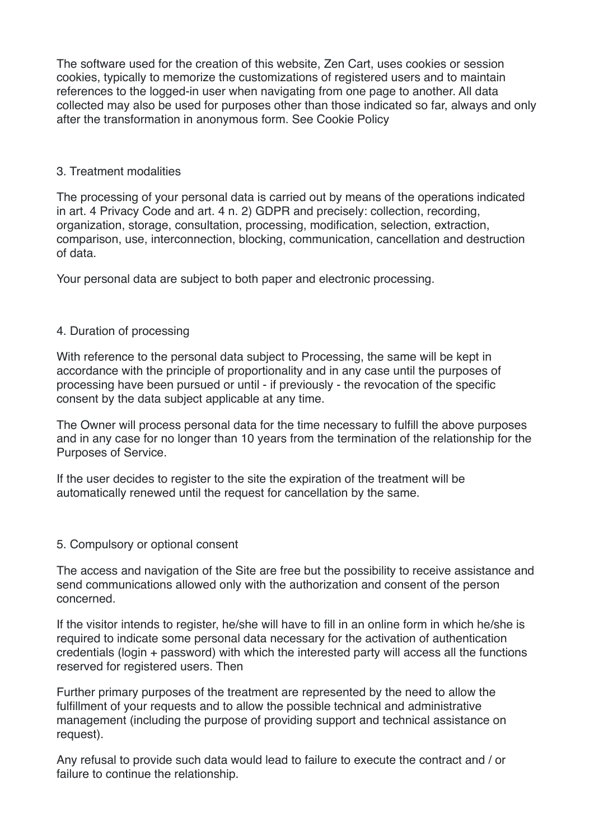The software used for the creation of this website, Zen Cart, uses cookies or session cookies, typically to memorize the customizations of registered users and to maintain references to the logged-in user when navigating from one page to another. All data collected may also be used for purposes other than those indicated so far, always and only after the transformation in anonymous form. See Cookie Policy

## 3. Treatment modalities

The processing of your personal data is carried out by means of the operations indicated in art. 4 Privacy Code and art. 4 n. 2) GDPR and precisely: collection, recording, organization, storage, consultation, processing, modification, selection, extraction, comparison, use, interconnection, blocking, communication, cancellation and destruction of data.

Your personal data are subject to both paper and electronic processing.

# 4. Duration of processing

With reference to the personal data subject to Processing, the same will be kept in accordance with the principle of proportionality and in any case until the purposes of processing have been pursued or until - if previously - the revocation of the specific consent by the data subject applicable at any time.

The Owner will process personal data for the time necessary to fulfill the above purposes and in any case for no longer than 10 years from the termination of the relationship for the Purposes of Service.

If the user decides to register to the site the expiration of the treatment will be automatically renewed until the request for cancellation by the same.

## 5. Compulsory or optional consent

The access and navigation of the Site are free but the possibility to receive assistance and send communications allowed only with the authorization and consent of the person concerned.

If the visitor intends to register, he/she will have to fill in an online form in which he/she is required to indicate some personal data necessary for the activation of authentication credentials (login + password) with which the interested party will access all the functions reserved for registered users. Then

Further primary purposes of the treatment are represented by the need to allow the fulfillment of your requests and to allow the possible technical and administrative management (including the purpose of providing support and technical assistance on request).

Any refusal to provide such data would lead to failure to execute the contract and / or failure to continue the relationship.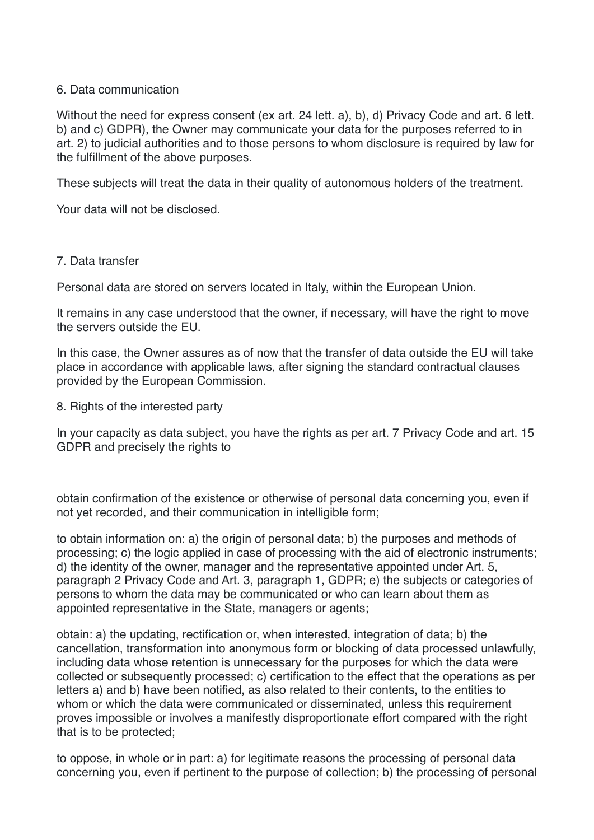## 6. Data communication

Without the need for express consent (ex art. 24 lett. a), b), d) Privacy Code and art. 6 lett. b) and c) GDPR), the Owner may communicate your data for the purposes referred to in art. 2) to judicial authorities and to those persons to whom disclosure is required by law for the fulfillment of the above purposes.

These subjects will treat the data in their quality of autonomous holders of the treatment.

Your data will not be disclosed.

# 7. Data transfer

Personal data are stored on servers located in Italy, within the European Union.

It remains in any case understood that the owner, if necessary, will have the right to move the servers outside the EU.

In this case, the Owner assures as of now that the transfer of data outside the EU will take place in accordance with applicable laws, after signing the standard contractual clauses provided by the European Commission.

8. Rights of the interested party

In your capacity as data subject, you have the rights as per art. 7 Privacy Code and art. 15 GDPR and precisely the rights to

obtain confirmation of the existence or otherwise of personal data concerning you, even if not yet recorded, and their communication in intelligible form;

to obtain information on: a) the origin of personal data; b) the purposes and methods of processing; c) the logic applied in case of processing with the aid of electronic instruments; d) the identity of the owner, manager and the representative appointed under Art. 5, paragraph 2 Privacy Code and Art. 3, paragraph 1, GDPR; e) the subjects or categories of persons to whom the data may be communicated or who can learn about them as appointed representative in the State, managers or agents;

obtain: a) the updating, rectification or, when interested, integration of data; b) the cancellation, transformation into anonymous form or blocking of data processed unlawfully, including data whose retention is unnecessary for the purposes for which the data were collected or subsequently processed; c) certification to the effect that the operations as per letters a) and b) have been notified, as also related to their contents, to the entities to whom or which the data were communicated or disseminated, unless this requirement proves impossible or involves a manifestly disproportionate effort compared with the right that is to be protected;

to oppose, in whole or in part: a) for legitimate reasons the processing of personal data concerning you, even if pertinent to the purpose of collection; b) the processing of personal